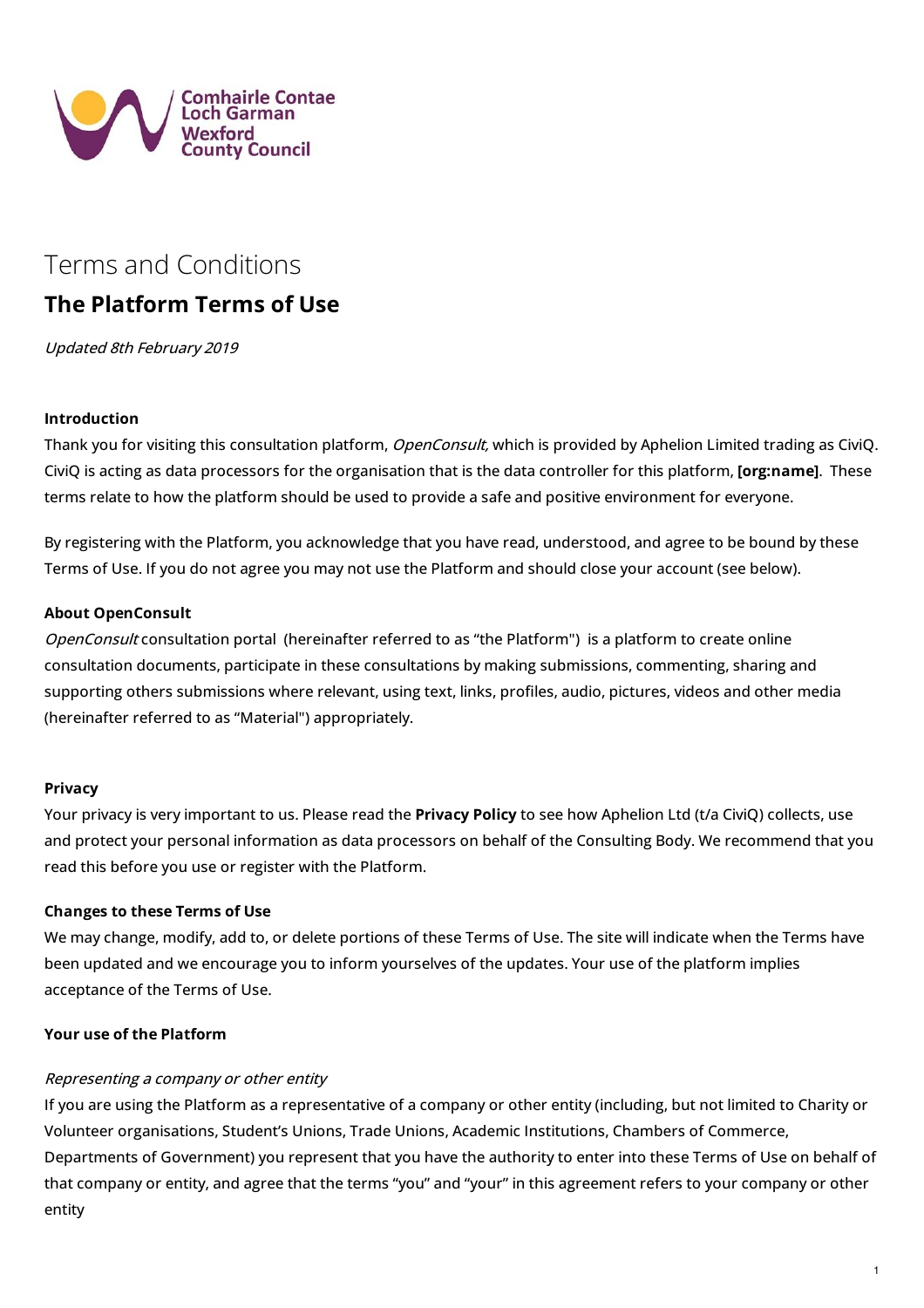

# Terms and [Conditions](https://consult.wexfordcoco.ie/en/content/terms-and-conditions)

# **The Platform Terms of Use**

Updated 8th February 2019

## **Introduction**

Thank you for visiting this consultation platform, OpenConsult, which is provided by Aphelion Limited trading as CiviQ. CiviQ is acting as data processors for the organisation that is the data controller for this platform, **[org:name]**. These terms relate to how the platform should be used to provide a safe and positive environment for everyone.

By registering with the Platform, you acknowledge that you have read, understood, and agree to be bound by these Terms of Use. If you do not agree you may not use the Platform and should close your account (see below).

## **About OpenConsult**

OpenConsult consultation portal (hereinafter referred to as "the Platform") is a platform to create online consultation documents, participate in these consultations by making submissions, commenting, sharing and supporting others submissions where relevant, using text, links, profiles, audio, pictures, videos and other media (hereinafter referred to as "Material") appropriately.

#### **Privacy**

Your privacy is very important to us. Please read the **[Privacy](https://consult.wexfordcoco.ie/en/privacy-statement) Policy** to see how Aphelion Ltd (t/a CiviQ) collects, use and protect your personal information as data processors on behalf of the Consulting Body. We recommend that you read this before you use or register with the Platform.

#### **Changes to these Terms of Use**

We may change, modify, add to, or delete portions of these Terms of Use. The site will indicate when the Terms have been updated and we encourage you to inform yourselves of the updates. Your use of the platform implies acceptance of the Terms of Use.

## **Your use of the Platform**

#### Representing <sup>a</sup> company or other entity

If you are using the Platform as a representative of a company or other entity (including, but not limited to Charity or Volunteer organisations, Student's Unions, Trade Unions, Academic Institutions, Chambers of Commerce, Departments of Government) you represent that you have the authority to enter into these Terms of Use on behalf of that company or entity, and agree that the terms "you" and "your" in this agreement refers to your company or other entity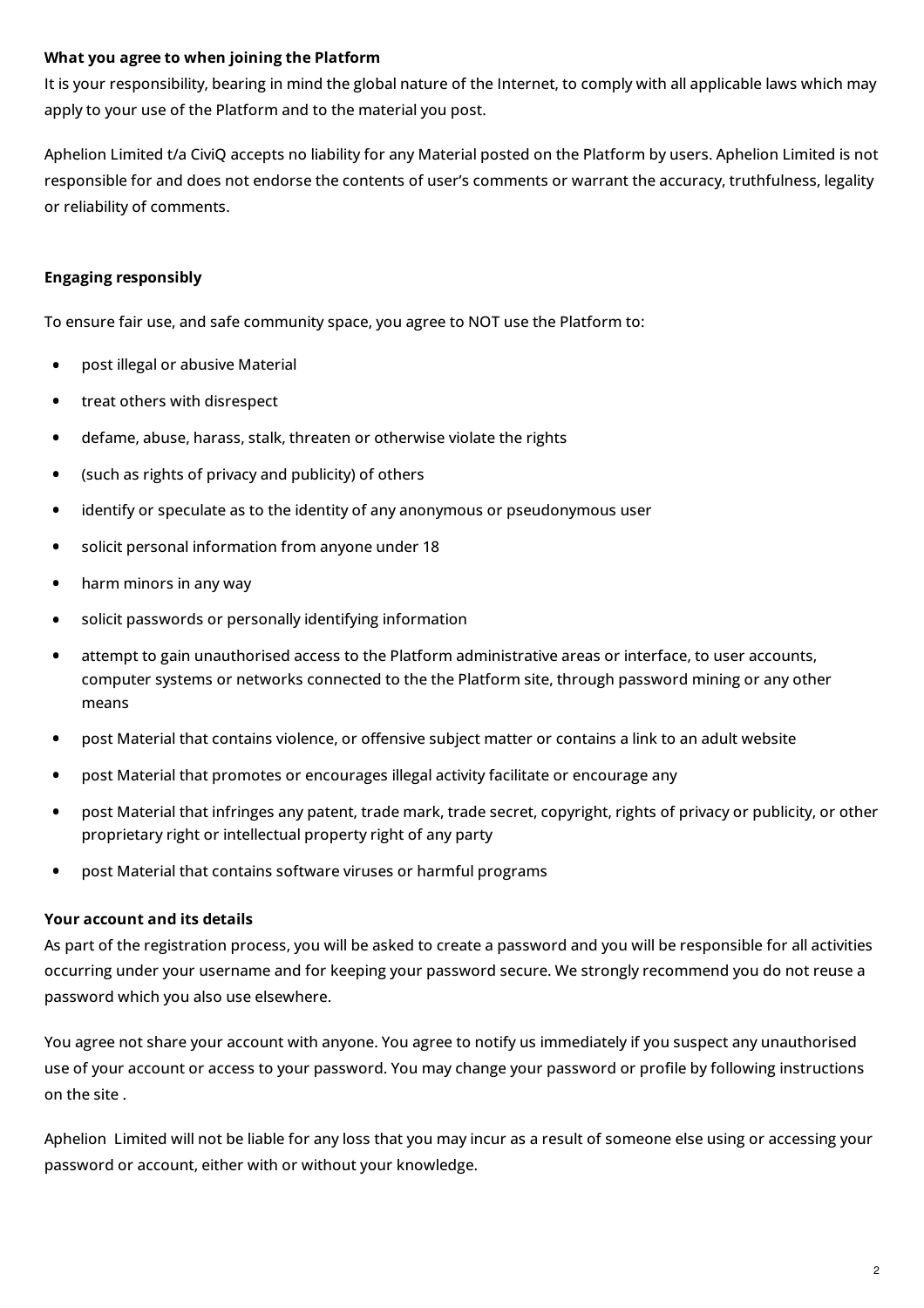# **What you agree to when joining the Platform**

It is your responsibility, bearing in mind the global nature of the Internet, to comply with all applicable laws which may apply to your use of the Platform and to the material you post.

Aphelion Limited t/a CiviQ accepts no liability for any Material posted on the Platform by users. Aphelion Limited is not responsible for and does not endorse the contents of user's comments or warrant the accuracy, truthfulness, legality or reliability of comments.

# **Engaging responsibly**

To ensure fair use, and safe community space, you agree to NOT use the Platform to:

- **•** post illegal or abusive Material
- **•** treat others with disrespect
- **•** defame, abuse, harass, stalk, threaten or otherwise violate the rights
- **•** (such as rights of privacy and publicity) of others
- **•** identify or speculate as to the identity of any anonymous or pseudonymous user
- **•** solicit personal information from anyone under <sup>18</sup>
- **•** harm minors in any way
- **•** solicit passwords or personally identifying information
- attempt to gain unauthorised access to the Platform administrative areas or interface, to user accounts, computer systems or networks connected to the the Platform site, through password mining or any other means **•**
- post Material that contains violence, or offensive subject matter or contains a link to an adult website
- **•** post Material that promotes or encourages illegal activity facilitate or encourage any
- post Material that infringes any patent, trade mark, trade secret, copyright, rights of privacy or publicity, or other proprietary right or intellectual property right of any party **•**
- **•** post Material that contains software viruses or harmful programs

#### **Your account and its details**

As part of the registration process, you will be asked to create a password and you will be responsible for all activities occurring under your username and for keeping your password secure. We strongly recommend you do not reuse a password which you also use elsewhere.

You agree not share your account with anyone. You agree to notify us immediately if you suspect any unauthorised use of your account or access to your password. You may change your password or profile by following instructions on the site .

Aphelion Limited will not be liable for any loss that you may incur as a result of someone else using or accessing your password or account, either with or without your knowledge.